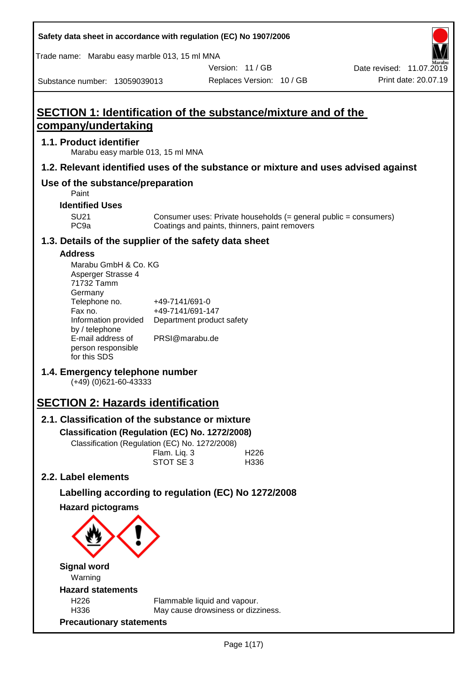| Safety data sheet in accordance with regulation (EC) No 1907/2006 |  |
|-------------------------------------------------------------------|--|
|-------------------------------------------------------------------|--|

Trade name: Marabu easy marble 013, 15 ml MNA

Version: 11 / GB

Replaces Version: 10 / GB Print date: 20.07.19 Date revised: 11.07.2019

Substance number: 13059039013

# **SECTION 1: Identification of the substance/mixture and of the company/undertaking**

# **1.1. Product identifier**

Marabu easy marble 013, 15 ml MNA

# **1.2. Relevant identified uses of the substance or mixture and uses advised against**

# **Use of the substance/preparation**

Paint

## **Identified Uses**

SU21 Consumer uses: Private households (= general public = consumers)<br>PC9a Coatings and paints, thinners, paint removers Coatings and paints, thinners, paint removers

# **1.3. Details of the supplier of the safety data sheet**

## **Address**

| Marabu GmbH & Co. KG |                           |
|----------------------|---------------------------|
| Asperger Strasse 4   |                           |
| 71732 Tamm           |                           |
| Germany              |                           |
| Telephone no.        | +49-7141/691-0            |
| Fax no.              | +49-7141/691-147          |
| Information provided | Department product safety |
| by / telephone       |                           |
| E-mail address of    | PRSI@marabu.de            |
| person responsible   |                           |
| for this SDS         |                           |

# **1.4. Emergency telephone number**

(+49) (0)621-60-43333

# **SECTION 2: Hazards identification**

# **2.1. Classification of the substance or mixture**

**Classification (Regulation (EC) No. 1272/2008)**

Classification (Regulation (EC) No. 1272/2008)

|  | Flam. Liq. 3 | H <sub>226</sub> |
|--|--------------|------------------|
|  | STOT SE3     | H336             |
|  |              |                  |

# **2.2. Label elements**

# **Labelling according to regulation (EC) No 1272/2008**

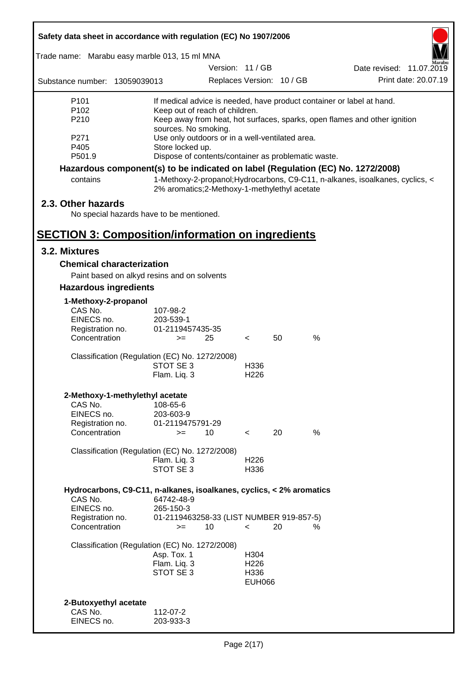| Safety data sheet in accordance with regulation (EC) No 1907/2006    |                                                                         |                          |                  |                           |                                                                                 |  |
|----------------------------------------------------------------------|-------------------------------------------------------------------------|--------------------------|------------------|---------------------------|---------------------------------------------------------------------------------|--|
| Trade name: Marabu easy marble 013, 15 ml MNA                        |                                                                         |                          |                  |                           |                                                                                 |  |
|                                                                      |                                                                         | Version: 11 / GB         |                  |                           | Date revised: 11.07.2019                                                        |  |
| Substance number: 13059039013                                        |                                                                         |                          |                  | Replaces Version: 10 / GB | Print date: 20.07.19                                                            |  |
| P <sub>101</sub>                                                     |                                                                         |                          |                  |                           | If medical advice is needed, have product container or label at hand.           |  |
| P <sub>102</sub>                                                     | Keep out of reach of children.                                          |                          |                  |                           |                                                                                 |  |
| P210                                                                 |                                                                         |                          |                  |                           | Keep away from heat, hot surfaces, sparks, open flames and other ignition       |  |
| P271                                                                 | sources. No smoking.<br>Use only outdoors or in a well-ventilated area. |                          |                  |                           |                                                                                 |  |
| P405                                                                 | Store locked up.                                                        |                          |                  |                           |                                                                                 |  |
| P501.9                                                               | Dispose of contents/container as problematic waste.                     |                          |                  |                           |                                                                                 |  |
|                                                                      |                                                                         |                          |                  |                           | Hazardous component(s) to be indicated on label (Regulation (EC) No. 1272/2008) |  |
| contains                                                             | 2% aromatics;2-Methoxy-1-methylethyl acetate                            |                          |                  |                           | 1-Methoxy-2-propanol; Hydrocarbons, C9-C11, n-alkanes, isoalkanes, cyclics, <   |  |
| 2.3. Other hazards                                                   |                                                                         |                          |                  |                           |                                                                                 |  |
|                                                                      | No special hazards have to be mentioned.                                |                          |                  |                           |                                                                                 |  |
|                                                                      |                                                                         |                          |                  |                           |                                                                                 |  |
| <b>SECTION 3: Composition/information on ingredients</b>             |                                                                         |                          |                  |                           |                                                                                 |  |
| 3.2. Mixtures                                                        |                                                                         |                          |                  |                           |                                                                                 |  |
| <b>Chemical characterization</b>                                     |                                                                         |                          |                  |                           |                                                                                 |  |
|                                                                      | Paint based on alkyd resins and on solvents                             |                          |                  |                           |                                                                                 |  |
| <b>Hazardous ingredients</b>                                         |                                                                         |                          |                  |                           |                                                                                 |  |
| 1-Methoxy-2-propanol                                                 |                                                                         |                          |                  |                           |                                                                                 |  |
| CAS No.                                                              | 107-98-2                                                                |                          |                  |                           |                                                                                 |  |
| EINECS no.                                                           | 203-539-1                                                               |                          |                  |                           |                                                                                 |  |
| Registration no.<br>Concentration                                    | 01-2119457435-35<br>25<br>$>=$                                          |                          |                  | 50                        | %                                                                               |  |
|                                                                      |                                                                         | $\prec$                  |                  |                           |                                                                                 |  |
|                                                                      | Classification (Regulation (EC) No. 1272/2008)                          |                          |                  |                           |                                                                                 |  |
|                                                                      | STOT SE 3                                                               |                          | H336             |                           |                                                                                 |  |
|                                                                      | Flam. Liq. 3                                                            |                          | H <sub>226</sub> |                           |                                                                                 |  |
| 2-Methoxy-1-methylethyl acetate                                      |                                                                         |                          |                  |                           |                                                                                 |  |
| CAS No.                                                              | 108-65-6                                                                |                          |                  |                           |                                                                                 |  |
| EINECS no.                                                           | 203-603-9                                                               |                          |                  |                           |                                                                                 |  |
| Registration no.<br>Concentration                                    | 01-2119475791-29<br>10<br>$=$                                           | $\lt$                    |                  | 20                        | %                                                                               |  |
|                                                                      |                                                                         |                          |                  |                           |                                                                                 |  |
|                                                                      | Classification (Regulation (EC) No. 1272/2008)                          |                          |                  |                           |                                                                                 |  |
|                                                                      | Flam. Liq. 3                                                            |                          | H <sub>226</sub> |                           |                                                                                 |  |
|                                                                      | STOT SE 3                                                               |                          | H336             |                           |                                                                                 |  |
| Hydrocarbons, C9-C11, n-alkanes, isoalkanes, cyclics, < 2% aromatics |                                                                         |                          |                  |                           |                                                                                 |  |
| CAS No.                                                              | 64742-48-9                                                              |                          |                  |                           |                                                                                 |  |
| EINECS no.                                                           | 265-150-3                                                               |                          |                  |                           |                                                                                 |  |
| Registration no.                                                     | 01-2119463258-33 (LIST NUMBER 919-857-5)                                |                          |                  |                           |                                                                                 |  |
| Concentration                                                        | 10<br>$=$                                                               | $\overline{\phantom{0}}$ |                  | 20                        | ℅                                                                               |  |
|                                                                      | Classification (Regulation (EC) No. 1272/2008)                          |                          |                  |                           |                                                                                 |  |
|                                                                      | Asp. Tox. 1                                                             |                          | H304             |                           |                                                                                 |  |
|                                                                      | Flam. Liq. 3                                                            |                          | H <sub>226</sub> |                           |                                                                                 |  |
|                                                                      | STOT SE 3                                                               |                          | H336             |                           |                                                                                 |  |
|                                                                      |                                                                         |                          | <b>EUH066</b>    |                           |                                                                                 |  |
|                                                                      |                                                                         |                          |                  |                           |                                                                                 |  |
| 2-Butoxyethyl acetate<br>CAS No.                                     | 112-07-2                                                                |                          |                  |                           |                                                                                 |  |
| EINECS no.                                                           | 203-933-3                                                               |                          |                  |                           |                                                                                 |  |
|                                                                      |                                                                         |                          |                  |                           |                                                                                 |  |

ī

Г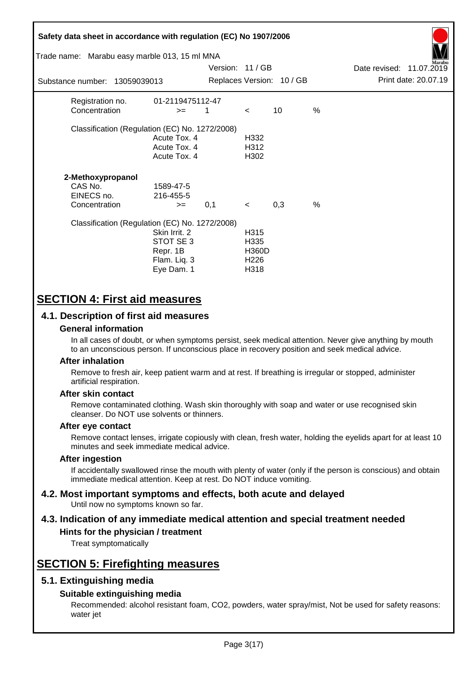| Safety data sheet in accordance with regulation (EC) No 1907/2006<br>Trade name: Marabu easy marble 013, 15 ml MNA |                                                                      | Version: 11 / GB |                                                                      |                           |               | Date revised: 11.07.2019 | farabu               |
|--------------------------------------------------------------------------------------------------------------------|----------------------------------------------------------------------|------------------|----------------------------------------------------------------------|---------------------------|---------------|--------------------------|----------------------|
| Substance number: 13059039013                                                                                      |                                                                      |                  |                                                                      | Replaces Version: 10 / GB |               |                          | Print date: 20.07.19 |
| Registration no.<br>Concentration                                                                                  | 01-2119475112-47<br>$>=$                                             | 1                | $\prec$                                                              | 10                        | %             |                          |                      |
| Classification (Regulation (EC) No. 1272/2008)                                                                     | Acute Tox. 4<br>Acute Tox. 4<br>Acute Tox. 4                         |                  | H332<br>H312<br>H302                                                 |                           |               |                          |                      |
| 2-Methoxypropanol<br>CAS No.<br>EINECS no.<br>Concentration                                                        | 1589-47-5<br>216-455-5<br>$>=$                                       | 0,1              | $\prec$                                                              | 0,3                       | $\frac{0}{0}$ |                          |                      |
| Classification (Regulation (EC) No. 1272/2008)                                                                     | Skin Irrit. 2<br>STOT SE 3<br>Repr. 1B<br>Flam. Liq. 3<br>Eye Dam. 1 |                  | H <sub>315</sub><br>H335<br><b>H360D</b><br>H <sub>226</sub><br>H318 |                           |               |                          |                      |

# **SECTION 4: First aid measures**

# **4.1. Description of first aid measures**

## **General information**

In all cases of doubt, or when symptoms persist, seek medical attention. Never give anything by mouth to an unconscious person. If unconscious place in recovery position and seek medical advice.

## **After inhalation**

Remove to fresh air, keep patient warm and at rest. If breathing is irregular or stopped, administer artificial respiration.

## **After skin contact**

Remove contaminated clothing. Wash skin thoroughly with soap and water or use recognised skin cleanser. Do NOT use solvents or thinners.

## **After eye contact**

Remove contact lenses, irrigate copiously with clean, fresh water, holding the eyelids apart for at least 10 minutes and seek immediate medical advice.

#### **After ingestion**

If accidentally swallowed rinse the mouth with plenty of water (only if the person is conscious) and obtain immediate medical attention. Keep at rest. Do NOT induce vomiting.

#### **4.2. Most important symptoms and effects, both acute and delayed** Until now no symptoms known so far.

# **4.3. Indication of any immediate medical attention and special treatment needed**

# **Hints for the physician / treatment**

Treat symptomatically

# **SECTION 5: Firefighting measures**

# **5.1. Extinguishing media**

## **Suitable extinguishing media**

Recommended: alcohol resistant foam, CO2, powders, water spray/mist, Not be used for safety reasons: water jet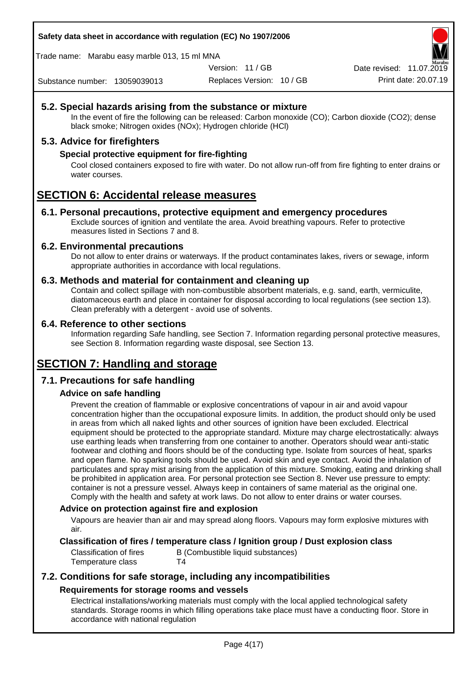**Safety data sheet in accordance with regulation (EC) No 1907/2006**

Trade name: Marabu easy marble 013, 15 ml MNA

Version: 11 / GB

Replaces Version: 10 / GB Print date: 20.07.19 Date revised: 11.07.2019

Substance number: 13059039013

# **5.2. Special hazards arising from the substance or mixture**

In the event of fire the following can be released: Carbon monoxide (CO); Carbon dioxide (CO2); dense black smoke; Nitrogen oxides (NOx); Hydrogen chloride (HCl)

# **5.3. Advice for firefighters**

# **Special protective equipment for fire-fighting**

Cool closed containers exposed to fire with water. Do not allow run-off from fire fighting to enter drains or water courses.

# **SECTION 6: Accidental release measures**

## **6.1. Personal precautions, protective equipment and emergency procedures**

Exclude sources of ignition and ventilate the area. Avoid breathing vapours. Refer to protective measures listed in Sections 7 and 8.

# **6.2. Environmental precautions**

Do not allow to enter drains or waterways. If the product contaminates lakes, rivers or sewage, inform appropriate authorities in accordance with local regulations.

# **6.3. Methods and material for containment and cleaning up**

Contain and collect spillage with non-combustible absorbent materials, e.g. sand, earth, vermiculite, diatomaceous earth and place in container for disposal according to local regulations (see section 13). Clean preferably with a detergent - avoid use of solvents.

## **6.4. Reference to other sections**

Information regarding Safe handling, see Section 7. Information regarding personal protective measures, see Section 8. Information regarding waste disposal, see Section 13.

# **SECTION 7: Handling and storage**

# **7.1. Precautions for safe handling**

# **Advice on safe handling**

Prevent the creation of flammable or explosive concentrations of vapour in air and avoid vapour concentration higher than the occupational exposure limits. In addition, the product should only be used in areas from which all naked lights and other sources of ignition have been excluded. Electrical equipment should be protected to the appropriate standard. Mixture may charge electrostatically: always use earthing leads when transferring from one container to another. Operators should wear anti-static footwear and clothing and floors should be of the conducting type. Isolate from sources of heat, sparks and open flame. No sparking tools should be used. Avoid skin and eye contact. Avoid the inhalation of particulates and spray mist arising from the application of this mixture. Smoking, eating and drinking shall be prohibited in application area. For personal protection see Section 8. Never use pressure to empty: container is not a pressure vessel. Always keep in containers of same material as the original one. Comply with the health and safety at work laws. Do not allow to enter drains or water courses.

## **Advice on protection against fire and explosion**

Vapours are heavier than air and may spread along floors. Vapours may form explosive mixtures with air.

## **Classification of fires / temperature class / Ignition group / Dust explosion class**

Classification of fires B (Combustible liquid substances) Temperature class T4

# **7.2. Conditions for safe storage, including any incompatibilities Requirements for storage rooms and vessels**

Electrical installations/working materials must comply with the local applied technological safety standards. Storage rooms in which filling operations take place must have a conducting floor. Store in accordance with national regulation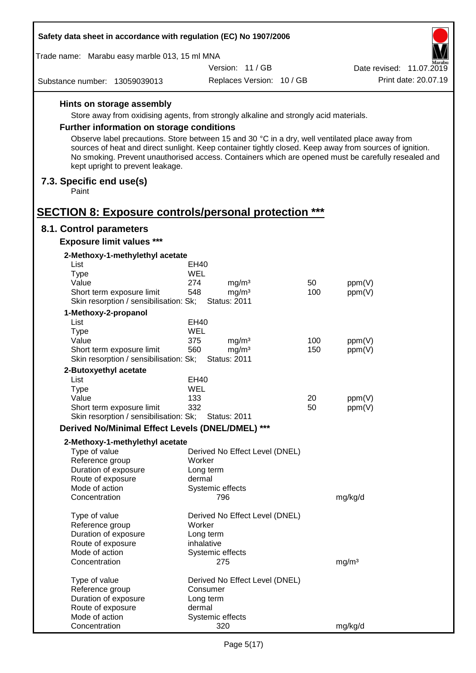| Safety data sheet in accordance with regulation (EC) No 1907/2006                                                                                                                                                                                  |            |                                |     |                          |                      |
|----------------------------------------------------------------------------------------------------------------------------------------------------------------------------------------------------------------------------------------------------|------------|--------------------------------|-----|--------------------------|----------------------|
| Trade name: Marabu easy marble 013, 15 ml MNA                                                                                                                                                                                                      |            |                                |     |                          |                      |
|                                                                                                                                                                                                                                                    |            | Version: 11/GB                 |     | Date revised: 11.07.2019 |                      |
| Substance number: 13059039013                                                                                                                                                                                                                      |            | Replaces Version: 10 / GB      |     |                          | Print date: 20.07.19 |
| Hints on storage assembly                                                                                                                                                                                                                          |            |                                |     |                          |                      |
| Store away from oxidising agents, from strongly alkaline and strongly acid materials.                                                                                                                                                              |            |                                |     |                          |                      |
| <b>Further information on storage conditions</b>                                                                                                                                                                                                   |            |                                |     |                          |                      |
| Observe label precautions. Store between 15 and 30 °C in a dry, well ventilated place away from                                                                                                                                                    |            |                                |     |                          |                      |
| sources of heat and direct sunlight. Keep container tightly closed. Keep away from sources of ignition.<br>No smoking. Prevent unauthorised access. Containers which are opened must be carefully resealed and<br>kept upright to prevent leakage. |            |                                |     |                          |                      |
| 7.3. Specific end use(s)<br>Paint                                                                                                                                                                                                                  |            |                                |     |                          |                      |
|                                                                                                                                                                                                                                                    |            |                                |     |                          |                      |
| <b>SECTION 8: Exposure controls/personal protection ***</b>                                                                                                                                                                                        |            |                                |     |                          |                      |
| 8.1. Control parameters                                                                                                                                                                                                                            |            |                                |     |                          |                      |
| <b>Exposure limit values ***</b>                                                                                                                                                                                                                   |            |                                |     |                          |                      |
| 2-Methoxy-1-methylethyl acetate<br>List                                                                                                                                                                                                            |            | EH40                           |     |                          |                      |
| <b>Type</b>                                                                                                                                                                                                                                        | <b>WEL</b> |                                |     |                          |                      |
| Value                                                                                                                                                                                                                                              | 274        | mg/m <sup>3</sup>              | 50  | ppm(V)                   |                      |
| Short term exposure limit                                                                                                                                                                                                                          | 548        | mg/m <sup>3</sup>              | 100 | ppm(V)                   |                      |
| Skin resorption / sensibilisation: Sk;                                                                                                                                                                                                             |            | <b>Status: 2011</b>            |     |                          |                      |
| 1-Methoxy-2-propanol                                                                                                                                                                                                                               |            |                                |     |                          |                      |
| List                                                                                                                                                                                                                                               |            | EH40                           |     |                          |                      |
| <b>Type</b><br>Value                                                                                                                                                                                                                               | WEL<br>375 | mg/m <sup>3</sup>              | 100 | ppm(V)                   |                      |
| Short term exposure limit                                                                                                                                                                                                                          | 560        | mg/m <sup>3</sup>              | 150 | ppm(V)                   |                      |
| Skin resorption / sensibilisation: Sk;                                                                                                                                                                                                             |            | <b>Status: 2011</b>            |     |                          |                      |
| 2-Butoxyethyl acetate                                                                                                                                                                                                                              |            |                                |     |                          |                      |
| List                                                                                                                                                                                                                                               |            | EH40                           |     |                          |                      |
| Type                                                                                                                                                                                                                                               | WEL        |                                |     |                          |                      |
| Value                                                                                                                                                                                                                                              | 133        |                                | 20  | ppm(V)                   |                      |
| Short term exposure limit<br>Skin resorption / sensibilisation: Sk;                                                                                                                                                                                | 332        | <b>Status: 2011</b>            | 50  | ppm(V)                   |                      |
| Derived No/Minimal Effect Levels (DNEL/DMEL) ***                                                                                                                                                                                                   |            |                                |     |                          |                      |
| 2-Methoxy-1-methylethyl acetate                                                                                                                                                                                                                    |            |                                |     |                          |                      |
| Type of value                                                                                                                                                                                                                                      |            | Derived No Effect Level (DNEL) |     |                          |                      |
| Reference group                                                                                                                                                                                                                                    |            | Worker                         |     |                          |                      |
| Duration of exposure                                                                                                                                                                                                                               |            | Long term                      |     |                          |                      |
| Route of exposure                                                                                                                                                                                                                                  |            | dermal                         |     |                          |                      |
| Mode of action<br>Concentration                                                                                                                                                                                                                    |            | Systemic effects<br>796        |     | mg/kg/d                  |                      |
| Type of value                                                                                                                                                                                                                                      |            | Derived No Effect Level (DNEL) |     |                          |                      |
| Reference group                                                                                                                                                                                                                                    |            | Worker                         |     |                          |                      |
| Duration of exposure                                                                                                                                                                                                                               |            | Long term                      |     |                          |                      |
| Route of exposure                                                                                                                                                                                                                                  |            | inhalative                     |     |                          |                      |
| Mode of action                                                                                                                                                                                                                                     |            | Systemic effects               |     |                          |                      |
| Concentration                                                                                                                                                                                                                                      |            | 275                            |     | mg/m <sup>3</sup>        |                      |
| Type of value                                                                                                                                                                                                                                      |            | Derived No Effect Level (DNEL) |     |                          |                      |
| Reference group                                                                                                                                                                                                                                    |            | Consumer                       |     |                          |                      |
| Duration of exposure                                                                                                                                                                                                                               |            | Long term                      |     |                          |                      |
| Route of exposure                                                                                                                                                                                                                                  |            | dermal                         |     |                          |                      |
| Mode of action                                                                                                                                                                                                                                     |            | Systemic effects               |     |                          |                      |
| Concentration                                                                                                                                                                                                                                      |            | 320                            |     | mg/kg/d                  |                      |

Г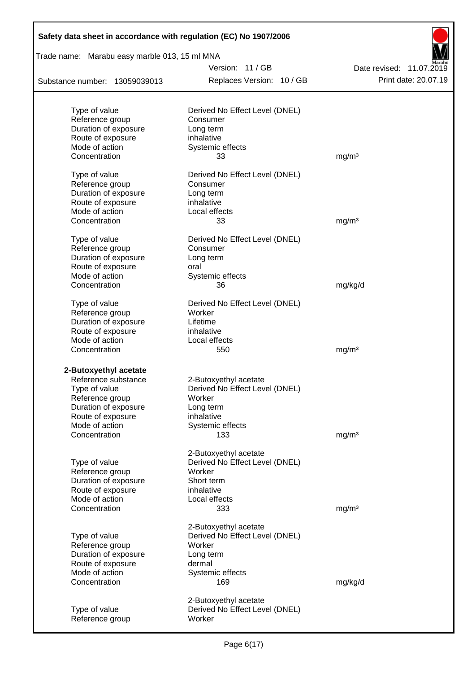| Safety data sheet in accordance with regulation (EC) No 1907/2006 |                                                         |                          |
|-------------------------------------------------------------------|---------------------------------------------------------|--------------------------|
| Trade name: Marabu easy marble 013, 15 ml MNA                     |                                                         |                          |
|                                                                   | Version: 11/GB                                          | Date revised: 11.07.2019 |
| Substance number: 13059039013                                     | Replaces Version: 10 / GB                               | Print date: 20.07.19     |
|                                                                   |                                                         |                          |
| Type of value                                                     | Derived No Effect Level (DNEL)                          |                          |
| Reference group                                                   | Consumer                                                |                          |
| Duration of exposure                                              | Long term                                               |                          |
| Route of exposure<br>Mode of action                               | inhalative                                              |                          |
| Concentration                                                     | Systemic effects<br>33                                  | mg/m <sup>3</sup>        |
|                                                                   |                                                         |                          |
| Type of value                                                     | Derived No Effect Level (DNEL)                          |                          |
| Reference group                                                   | Consumer                                                |                          |
| Duration of exposure                                              | Long term                                               |                          |
| Route of exposure                                                 | inhalative                                              |                          |
| Mode of action                                                    | Local effects                                           |                          |
| Concentration                                                     | 33                                                      | mg/m <sup>3</sup>        |
| Type of value                                                     | Derived No Effect Level (DNEL)                          |                          |
| Reference group                                                   | Consumer                                                |                          |
| Duration of exposure                                              | Long term                                               |                          |
| Route of exposure                                                 | oral                                                    |                          |
| Mode of action                                                    | Systemic effects                                        |                          |
| Concentration                                                     | 36                                                      | mg/kg/d                  |
| Type of value                                                     | Derived No Effect Level (DNEL)                          |                          |
| Reference group                                                   | Worker                                                  |                          |
| Duration of exposure                                              | Lifetime                                                |                          |
| Route of exposure                                                 | inhalative                                              |                          |
| Mode of action                                                    | Local effects                                           |                          |
| Concentration                                                     | 550                                                     | mg/m <sup>3</sup>        |
|                                                                   |                                                         |                          |
| 2-Butoxyethyl acetate                                             |                                                         |                          |
| Reference substance                                               | 2-Butoxyethyl acetate<br>Derived No Effect Level (DNEL) |                          |
| Type of value<br>Reference group                                  | Worker                                                  |                          |
| Duration of exposure                                              | Long term                                               |                          |
| Route of exposure                                                 | inhalative                                              |                          |
| Mode of action                                                    | Systemic effects                                        |                          |
| Concentration                                                     | 133                                                     | mg/m <sup>3</sup>        |
|                                                                   |                                                         |                          |
|                                                                   | 2-Butoxyethyl acetate                                   |                          |
| Type of value                                                     | Derived No Effect Level (DNEL)                          |                          |
| Reference group<br>Duration of exposure                           | Worker<br>Short term                                    |                          |
| Route of exposure                                                 | inhalative                                              |                          |
| Mode of action                                                    | Local effects                                           |                          |
| Concentration                                                     | 333                                                     | mg/m <sup>3</sup>        |
|                                                                   |                                                         |                          |
|                                                                   | 2-Butoxyethyl acetate                                   |                          |
| Type of value                                                     | Derived No Effect Level (DNEL)                          |                          |
| Reference group                                                   | Worker                                                  |                          |
| Duration of exposure                                              | Long term                                               |                          |
| Route of exposure<br>Mode of action                               | dermal<br>Systemic effects                              |                          |
| Concentration                                                     | 169                                                     | mg/kg/d                  |
|                                                                   |                                                         |                          |
|                                                                   | 2-Butoxyethyl acetate                                   |                          |
| Type of value                                                     | Derived No Effect Level (DNEL)                          |                          |
| Reference group                                                   | Worker                                                  |                          |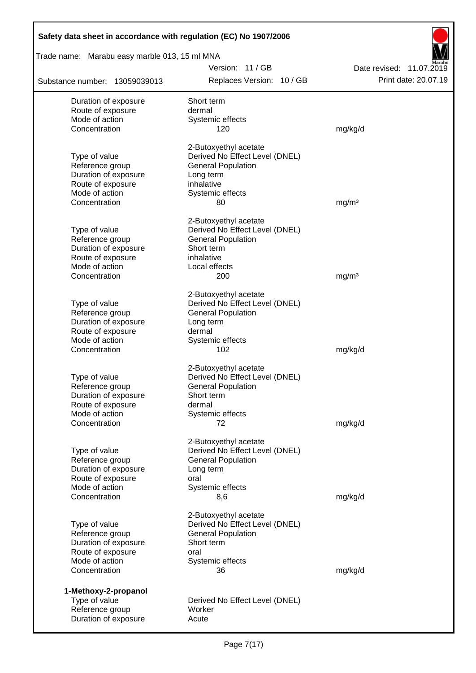| Safety data sheet in accordance with regulation (EC) No 1907/2006 |                                          |                          |  |  |  |  |
|-------------------------------------------------------------------|------------------------------------------|--------------------------|--|--|--|--|
| Trade name: Marabu easy marble 013, 15 ml MNA                     |                                          |                          |  |  |  |  |
|                                                                   | Version: 11/GB                           | Date revised: 11.07.2019 |  |  |  |  |
| Substance number: 13059039013                                     | Replaces Version: 10 / GB                | Print date: 20.07.19     |  |  |  |  |
| Duration of exposure                                              | Short term                               |                          |  |  |  |  |
| Route of exposure                                                 | dermal                                   |                          |  |  |  |  |
| Mode of action                                                    | Systemic effects                         |                          |  |  |  |  |
| Concentration                                                     | 120                                      | mg/kg/d                  |  |  |  |  |
|                                                                   | 2-Butoxyethyl acetate                    |                          |  |  |  |  |
| Type of value                                                     | Derived No Effect Level (DNEL)           |                          |  |  |  |  |
| Reference group                                                   | <b>General Population</b>                |                          |  |  |  |  |
| Duration of exposure                                              | Long term                                |                          |  |  |  |  |
| Route of exposure                                                 | inhalative                               |                          |  |  |  |  |
| Mode of action                                                    | Systemic effects                         |                          |  |  |  |  |
| Concentration                                                     | 80                                       | mg/m <sup>3</sup>        |  |  |  |  |
|                                                                   | 2-Butoxyethyl acetate                    |                          |  |  |  |  |
| Type of value                                                     | Derived No Effect Level (DNEL)           |                          |  |  |  |  |
| Reference group                                                   | <b>General Population</b>                |                          |  |  |  |  |
| Duration of exposure                                              | Short term                               |                          |  |  |  |  |
| Route of exposure                                                 | inhalative                               |                          |  |  |  |  |
| Mode of action                                                    | Local effects                            |                          |  |  |  |  |
| Concentration                                                     | 200                                      | mg/m <sup>3</sup>        |  |  |  |  |
|                                                                   | 2-Butoxyethyl acetate                    |                          |  |  |  |  |
| Type of value                                                     | Derived No Effect Level (DNEL)           |                          |  |  |  |  |
| Reference group                                                   | <b>General Population</b>                |                          |  |  |  |  |
| Duration of exposure                                              | Long term                                |                          |  |  |  |  |
| Route of exposure                                                 | dermal                                   |                          |  |  |  |  |
| Mode of action                                                    | Systemic effects                         |                          |  |  |  |  |
| Concentration                                                     | 102                                      | mg/kg/d                  |  |  |  |  |
|                                                                   | 2-Butoxyethyl acetate                    |                          |  |  |  |  |
| Type of value                                                     | Derived No Effect Level (DNEL)           |                          |  |  |  |  |
| Reference group                                                   | <b>General Population</b>                |                          |  |  |  |  |
| Duration of exposure                                              | Short term                               |                          |  |  |  |  |
| Route of exposure                                                 | dermal                                   |                          |  |  |  |  |
| Mode of action                                                    | Systemic effects                         |                          |  |  |  |  |
| Concentration                                                     | 72                                       | mg/kg/d                  |  |  |  |  |
|                                                                   |                                          |                          |  |  |  |  |
|                                                                   | 2-Butoxyethyl acetate                    |                          |  |  |  |  |
| Type of value                                                     | Derived No Effect Level (DNEL)           |                          |  |  |  |  |
| Reference group                                                   | <b>General Population</b>                |                          |  |  |  |  |
| Duration of exposure                                              | Long term                                |                          |  |  |  |  |
| Route of exposure                                                 | oral                                     |                          |  |  |  |  |
| Mode of action                                                    | Systemic effects                         |                          |  |  |  |  |
| Concentration                                                     | 8,6                                      | mg/kg/d                  |  |  |  |  |
|                                                                   | 2-Butoxyethyl acetate                    |                          |  |  |  |  |
| Type of value                                                     | Derived No Effect Level (DNEL)           |                          |  |  |  |  |
| Reference group                                                   | <b>General Population</b>                |                          |  |  |  |  |
| Duration of exposure                                              | Short term                               |                          |  |  |  |  |
| Route of exposure                                                 | oral                                     |                          |  |  |  |  |
| Mode of action                                                    | Systemic effects                         |                          |  |  |  |  |
| Concentration                                                     | 36                                       | mg/kg/d                  |  |  |  |  |
|                                                                   |                                          |                          |  |  |  |  |
| 1-Methoxy-2-propanol                                              |                                          |                          |  |  |  |  |
| Type of value<br>Reference group                                  | Derived No Effect Level (DNEL)<br>Worker |                          |  |  |  |  |
| Duration of exposure                                              | Acute                                    |                          |  |  |  |  |
|                                                                   |                                          |                          |  |  |  |  |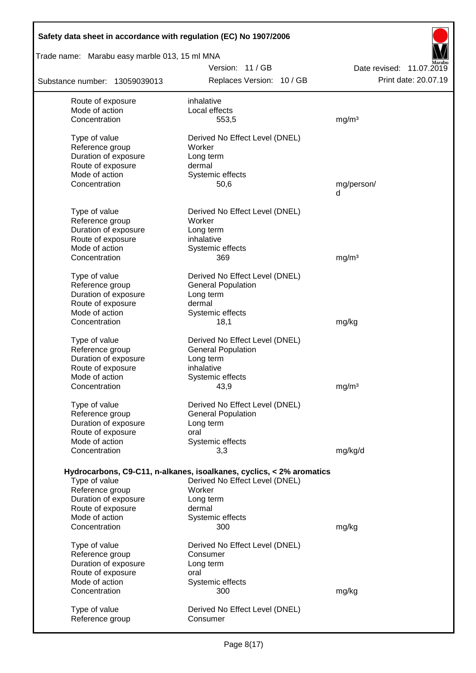|                                                                      | Trade name: Marabu easy marble 013, 15 ml MNA<br>Version: 11 / GB |                                                  |  |  |  |
|----------------------------------------------------------------------|-------------------------------------------------------------------|--------------------------------------------------|--|--|--|
| Substance number: 13059039013                                        | Replaces Version: 10 / GB                                         | Date revised: 11.07.2019<br>Print date: 20.07.19 |  |  |  |
| Route of exposure                                                    | inhalative                                                        |                                                  |  |  |  |
| Mode of action                                                       | Local effects                                                     |                                                  |  |  |  |
| Concentration                                                        | 553,5                                                             | mg/m <sup>3</sup>                                |  |  |  |
| Type of value                                                        | Derived No Effect Level (DNEL)                                    |                                                  |  |  |  |
| Reference group                                                      | Worker                                                            |                                                  |  |  |  |
| Duration of exposure                                                 | Long term                                                         |                                                  |  |  |  |
| Route of exposure                                                    | dermal                                                            |                                                  |  |  |  |
| Mode of action                                                       | Systemic effects                                                  |                                                  |  |  |  |
| Concentration                                                        | 50,6                                                              | mg/person/<br>d                                  |  |  |  |
| Type of value                                                        | Derived No Effect Level (DNEL)                                    |                                                  |  |  |  |
| Reference group                                                      | Worker                                                            |                                                  |  |  |  |
| Duration of exposure                                                 | Long term                                                         |                                                  |  |  |  |
| Route of exposure                                                    | inhalative                                                        |                                                  |  |  |  |
| Mode of action                                                       | Systemic effects                                                  |                                                  |  |  |  |
| Concentration                                                        | 369                                                               | mg/m <sup>3</sup>                                |  |  |  |
| Type of value                                                        | Derived No Effect Level (DNEL)                                    |                                                  |  |  |  |
| Reference group                                                      | <b>General Population</b>                                         |                                                  |  |  |  |
| Duration of exposure                                                 | Long term                                                         |                                                  |  |  |  |
| Route of exposure                                                    | dermal                                                            |                                                  |  |  |  |
| Mode of action                                                       | Systemic effects                                                  |                                                  |  |  |  |
| Concentration                                                        | 18,1                                                              | mg/kg                                            |  |  |  |
| Type of value                                                        | Derived No Effect Level (DNEL)                                    |                                                  |  |  |  |
| Reference group                                                      | <b>General Population</b>                                         |                                                  |  |  |  |
| Duration of exposure                                                 | Long term                                                         |                                                  |  |  |  |
| Route of exposure                                                    | inhalative                                                        |                                                  |  |  |  |
| Mode of action                                                       | Systemic effects                                                  |                                                  |  |  |  |
| Concentration                                                        | 43,9                                                              | mg/m <sup>3</sup>                                |  |  |  |
| Type of value                                                        | Derived No Effect Level (DNEL)                                    |                                                  |  |  |  |
| Reference group                                                      | <b>General Population</b>                                         |                                                  |  |  |  |
| Duration of exposure                                                 | Long term                                                         |                                                  |  |  |  |
| Route of exposure                                                    | oral                                                              |                                                  |  |  |  |
| Mode of action                                                       | Systemic effects                                                  |                                                  |  |  |  |
| Concentration                                                        | 3,3                                                               | mg/kg/d                                          |  |  |  |
|                                                                      |                                                                   |                                                  |  |  |  |
| Hydrocarbons, C9-C11, n-alkanes, isoalkanes, cyclics, < 2% aromatics |                                                                   |                                                  |  |  |  |
| Type of value                                                        | Derived No Effect Level (DNEL)                                    |                                                  |  |  |  |
| Reference group                                                      | Worker                                                            |                                                  |  |  |  |
| Duration of exposure                                                 | Long term                                                         |                                                  |  |  |  |
| Route of exposure                                                    | dermal                                                            |                                                  |  |  |  |
| Mode of action                                                       | Systemic effects                                                  |                                                  |  |  |  |
| Concentration                                                        | 300                                                               | mg/kg                                            |  |  |  |
|                                                                      |                                                                   |                                                  |  |  |  |
| Type of value                                                        | Derived No Effect Level (DNEL)<br>Consumer                        |                                                  |  |  |  |
| Reference group                                                      |                                                                   |                                                  |  |  |  |
| Duration of exposure<br>Route of exposure                            | Long term<br>oral                                                 |                                                  |  |  |  |
| Mode of action                                                       | Systemic effects                                                  |                                                  |  |  |  |
| Concentration                                                        | 300                                                               | mg/kg                                            |  |  |  |
| Type of value                                                        | Derived No Effect Level (DNEL)                                    |                                                  |  |  |  |

 $\overline{ }$ ₹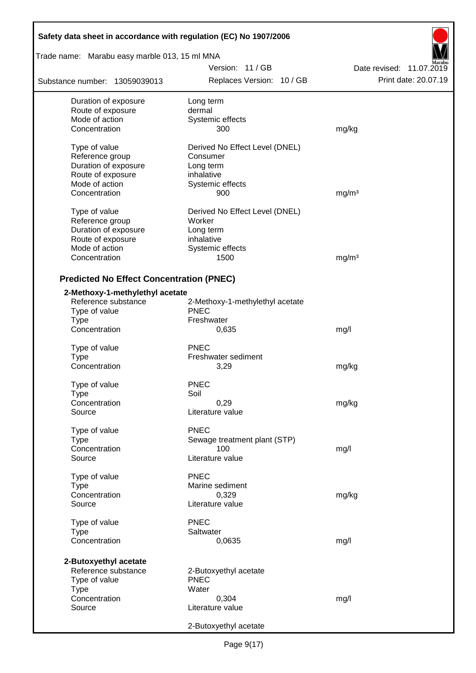| Safety data sheet in accordance with regulation (EC) No 1907/2006 |                                 |                          |  |  |  |
|-------------------------------------------------------------------|---------------------------------|--------------------------|--|--|--|
| Trade name: Marabu easy marble 013, 15 ml MNA                     |                                 |                          |  |  |  |
|                                                                   | Version: 11/GB                  | Date revised: 11.07.2019 |  |  |  |
| Substance number: 13059039013                                     | Replaces Version: 10 / GB       | Print date: 20.07.19     |  |  |  |
| Duration of exposure                                              | Long term                       |                          |  |  |  |
| Route of exposure                                                 | dermal                          |                          |  |  |  |
| Mode of action                                                    | Systemic effects                |                          |  |  |  |
| Concentration                                                     | 300                             | mg/kg                    |  |  |  |
| Type of value                                                     | Derived No Effect Level (DNEL)  |                          |  |  |  |
| Reference group                                                   | Consumer                        |                          |  |  |  |
| Duration of exposure                                              | Long term                       |                          |  |  |  |
| Route of exposure                                                 | inhalative                      |                          |  |  |  |
| Mode of action                                                    | Systemic effects                |                          |  |  |  |
| Concentration                                                     | 900                             | mg/m <sup>3</sup>        |  |  |  |
| Type of value                                                     | Derived No Effect Level (DNEL)  |                          |  |  |  |
| Reference group                                                   | Worker                          |                          |  |  |  |
| Duration of exposure                                              | Long term                       |                          |  |  |  |
| Route of exposure                                                 | inhalative                      |                          |  |  |  |
| Mode of action                                                    | Systemic effects                |                          |  |  |  |
| Concentration                                                     | 1500                            | mg/m <sup>3</sup>        |  |  |  |
|                                                                   |                                 |                          |  |  |  |
| <b>Predicted No Effect Concentration (PNEC)</b>                   |                                 |                          |  |  |  |
| 2-Methoxy-1-methylethyl acetate                                   |                                 |                          |  |  |  |
| Reference substance                                               | 2-Methoxy-1-methylethyl acetate |                          |  |  |  |
| Type of value                                                     | <b>PNEC</b>                     |                          |  |  |  |
| <b>Type</b>                                                       | Freshwater                      |                          |  |  |  |
| Concentration                                                     | 0,635                           | mg/l                     |  |  |  |
| Type of value                                                     | <b>PNEC</b>                     |                          |  |  |  |
| <b>Type</b>                                                       | Freshwater sediment             |                          |  |  |  |
| Concentration                                                     | 3,29                            | mg/kg                    |  |  |  |
| Type of value                                                     | <b>PNEC</b>                     |                          |  |  |  |
| Type                                                              | Soil                            |                          |  |  |  |
| Concentration                                                     | 0,29                            | mg/kg                    |  |  |  |
| Source                                                            | Literature value                |                          |  |  |  |
| Type of value                                                     | <b>PNEC</b>                     |                          |  |  |  |
| <b>Type</b>                                                       | Sewage treatment plant (STP)    |                          |  |  |  |
| Concentration                                                     | 100                             | mg/l                     |  |  |  |
| Source                                                            | Literature value                |                          |  |  |  |
|                                                                   |                                 |                          |  |  |  |
| Type of value                                                     | <b>PNEC</b>                     |                          |  |  |  |
| Type                                                              | Marine sediment                 |                          |  |  |  |
| Concentration                                                     | 0,329                           | mg/kg                    |  |  |  |
| Source                                                            | Literature value                |                          |  |  |  |
| Type of value                                                     | <b>PNEC</b>                     |                          |  |  |  |
| <b>Type</b>                                                       | Saltwater                       |                          |  |  |  |
| Concentration                                                     | 0,0635                          | mg/l                     |  |  |  |
| 2-Butoxyethyl acetate                                             |                                 |                          |  |  |  |
| Reference substance                                               | 2-Butoxyethyl acetate           |                          |  |  |  |
| Type of value                                                     | <b>PNEC</b>                     |                          |  |  |  |
| <b>Type</b>                                                       | Water                           |                          |  |  |  |
| Concentration                                                     | 0,304                           | mg/l                     |  |  |  |
| Source                                                            | Literature value                |                          |  |  |  |
|                                                                   |                                 |                          |  |  |  |
|                                                                   | 2-Butoxyethyl acetate           |                          |  |  |  |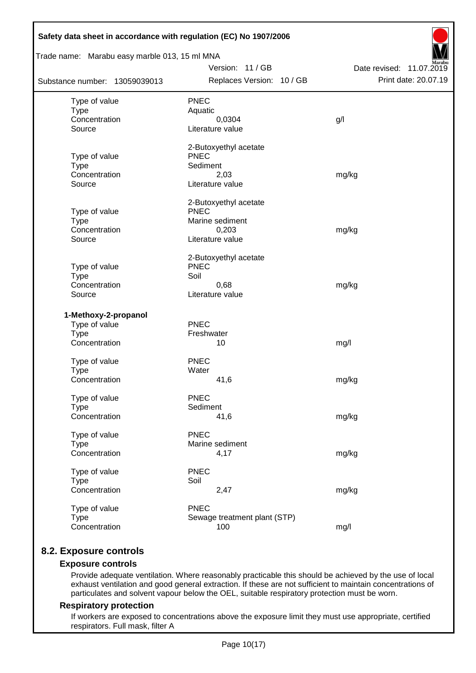| Safety data sheet in accordance with regulation (EC) No 1907/2006 |                              |                                                  |  |  |  |  |
|-------------------------------------------------------------------|------------------------------|--------------------------------------------------|--|--|--|--|
| Trade name: Marabu easy marble 013, 15 ml MNA                     | Version: 11 / GB             |                                                  |  |  |  |  |
| Substance number: 13059039013                                     | Replaces Version: 10 / GB    | Date revised: 11.07.2019<br>Print date: 20.07.19 |  |  |  |  |
| Type of value                                                     | <b>PNEC</b>                  |                                                  |  |  |  |  |
| <b>Type</b>                                                       | Aquatic                      |                                                  |  |  |  |  |
| Concentration                                                     | 0,0304                       | g/                                               |  |  |  |  |
| Source                                                            | Literature value             |                                                  |  |  |  |  |
|                                                                   | 2-Butoxyethyl acetate        |                                                  |  |  |  |  |
| Type of value                                                     | <b>PNEC</b>                  |                                                  |  |  |  |  |
| <b>Type</b>                                                       | Sediment                     |                                                  |  |  |  |  |
| Concentration                                                     | 2,03                         | mg/kg                                            |  |  |  |  |
| Source                                                            | Literature value             |                                                  |  |  |  |  |
|                                                                   | 2-Butoxyethyl acetate        |                                                  |  |  |  |  |
| Type of value                                                     | <b>PNEC</b>                  |                                                  |  |  |  |  |
| <b>Type</b><br>Concentration                                      | Marine sediment<br>0,203     |                                                  |  |  |  |  |
| Source                                                            | Literature value             | mg/kg                                            |  |  |  |  |
|                                                                   |                              |                                                  |  |  |  |  |
|                                                                   | 2-Butoxyethyl acetate        |                                                  |  |  |  |  |
| Type of value                                                     | <b>PNEC</b>                  |                                                  |  |  |  |  |
| <b>Type</b><br>Concentration                                      | Soil<br>0,68                 |                                                  |  |  |  |  |
| Source                                                            | Literature value             | mg/kg                                            |  |  |  |  |
| 1-Methoxy-2-propanol                                              |                              |                                                  |  |  |  |  |
| Type of value                                                     | <b>PNEC</b>                  |                                                  |  |  |  |  |
| <b>Type</b>                                                       | Freshwater                   |                                                  |  |  |  |  |
| Concentration                                                     | 10                           | mg/l                                             |  |  |  |  |
|                                                                   |                              |                                                  |  |  |  |  |
| Type of value                                                     | <b>PNEC</b>                  |                                                  |  |  |  |  |
| <b>Type</b>                                                       | Water                        |                                                  |  |  |  |  |
| Concentration                                                     | 41,6                         | mg/kg                                            |  |  |  |  |
| Type of value                                                     | <b>PNEC</b>                  |                                                  |  |  |  |  |
| <b>Type</b>                                                       | Sediment                     |                                                  |  |  |  |  |
| Concentration                                                     | 41,6                         | mg/kg                                            |  |  |  |  |
| Type of value                                                     | <b>PNEC</b>                  |                                                  |  |  |  |  |
| <b>Type</b>                                                       | Marine sediment              |                                                  |  |  |  |  |
| Concentration                                                     | 4,17                         | mg/kg                                            |  |  |  |  |
| Type of value                                                     | <b>PNEC</b>                  |                                                  |  |  |  |  |
| <b>Type</b>                                                       | Soil                         |                                                  |  |  |  |  |
| Concentration                                                     | 2,47                         | mg/kg                                            |  |  |  |  |
| Type of value                                                     | <b>PNEC</b>                  |                                                  |  |  |  |  |
| <b>Type</b>                                                       | Sewage treatment plant (STP) |                                                  |  |  |  |  |
| Concentration                                                     | 100                          | mg/l                                             |  |  |  |  |

# **8.2. Exposure controls**

## **Exposure controls**

Provide adequate ventilation. Where reasonably practicable this should be achieved by the use of local exhaust ventilation and good general extraction. If these are not sufficient to maintain concentrations of particulates and solvent vapour below the OEL, suitable respiratory protection must be worn.

#### **Respiratory protection**

If workers are exposed to concentrations above the exposure limit they must use appropriate, certified respirators. Full mask, filter A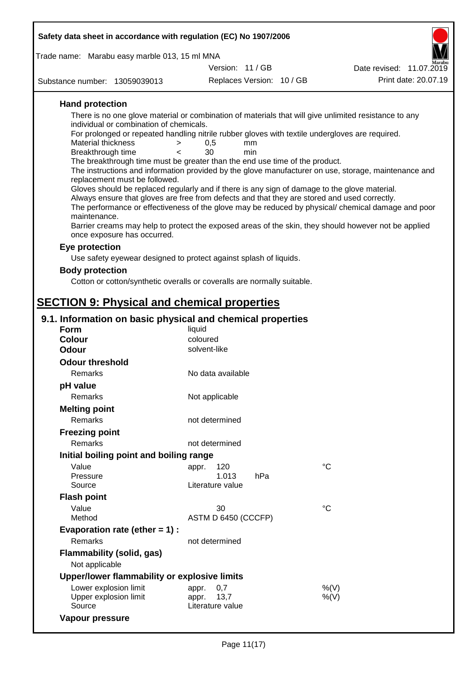| Safety data sheet in accordance with regulation (EC) No 1907/2006                                                              |                               |           |                                                                                                      |
|--------------------------------------------------------------------------------------------------------------------------------|-------------------------------|-----------|------------------------------------------------------------------------------------------------------|
| Trade name: Marabu easy marble 013, 15 ml MNA                                                                                  |                               |           |                                                                                                      |
|                                                                                                                                | Version: 11/GB                |           | Date revised: 11.07.2019                                                                             |
| Substance number: 13059039013                                                                                                  | Replaces Version: 10 / GB     |           | Print date: 20.07.19                                                                                 |
| <b>Hand protection</b>                                                                                                         |                               |           |                                                                                                      |
| There is no one glove material or combination of materials that will give unlimited resistance to any                          |                               |           |                                                                                                      |
| individual or combination of chemicals.                                                                                        |                               |           |                                                                                                      |
| For prolonged or repeated handling nitrile rubber gloves with textile undergloves are required.<br><b>Material thickness</b>   |                               |           |                                                                                                      |
| ><br>Breakthrough time<br><                                                                                                    | 0,5<br>30                     | mm<br>min |                                                                                                      |
| The breakthrough time must be greater than the end use time of the product.                                                    |                               |           |                                                                                                      |
|                                                                                                                                |                               |           | The instructions and information provided by the glove manufacturer on use, storage, maintenance and |
| replacement must be followed.<br>Gloves should be replaced regularly and if there is any sign of damage to the glove material. |                               |           |                                                                                                      |
| Always ensure that gloves are free from defects and that they are stored and used correctly.                                   |                               |           |                                                                                                      |
|                                                                                                                                |                               |           | The performance or effectiveness of the glove may be reduced by physical/ chemical damage and poor   |
| maintenance.<br>Barrier creams may help to protect the exposed areas of the skin, they should however not be applied           |                               |           |                                                                                                      |
| once exposure has occurred.                                                                                                    |                               |           |                                                                                                      |
| Eye protection                                                                                                                 |                               |           |                                                                                                      |
| Use safety eyewear designed to protect against splash of liquids.                                                              |                               |           |                                                                                                      |
| <b>Body protection</b>                                                                                                         |                               |           |                                                                                                      |
| Cotton or cotton/synthetic overalls or coveralls are normally suitable.                                                        |                               |           |                                                                                                      |
|                                                                                                                                |                               |           |                                                                                                      |
| <b>SECTION 9: Physical and chemical properties</b>                                                                             |                               |           |                                                                                                      |
| 9.1. Information on basic physical and chemical properties<br><b>Form</b>                                                      | liquid                        |           |                                                                                                      |
| <b>Colour</b>                                                                                                                  | coloured                      |           |                                                                                                      |
| <b>Odour</b>                                                                                                                   | solvent-like                  |           |                                                                                                      |
| <b>Odour threshold</b>                                                                                                         |                               |           |                                                                                                      |
| Remarks                                                                                                                        | No data available             |           |                                                                                                      |
| pH value                                                                                                                       |                               |           |                                                                                                      |
| Remarks                                                                                                                        | Not applicable                |           |                                                                                                      |
| <b>Melting point</b>                                                                                                           |                               |           |                                                                                                      |
| Remarks                                                                                                                        | not determined                |           |                                                                                                      |
| <b>Freezing point</b>                                                                                                          |                               |           |                                                                                                      |
| Remarks                                                                                                                        | not determined                |           |                                                                                                      |
| Initial boiling point and boiling range                                                                                        |                               |           |                                                                                                      |
| Value<br>Pressure                                                                                                              | 120<br>appr.<br>1.013         | hPa       | $\rm ^{\circ}C$                                                                                      |
| Source                                                                                                                         | Literature value              |           |                                                                                                      |
| <b>Flash point</b>                                                                                                             |                               |           |                                                                                                      |
| Value                                                                                                                          | 30                            |           | $^{\circ}C$                                                                                          |
| Method                                                                                                                         | ASTM D 6450 (CCCFP)           |           |                                                                                                      |
| Evaporation rate (ether $= 1$ ) :                                                                                              |                               |           |                                                                                                      |
| Remarks                                                                                                                        | not determined                |           |                                                                                                      |
| <b>Flammability (solid, gas)</b>                                                                                               |                               |           |                                                                                                      |
| Not applicable                                                                                                                 |                               |           |                                                                                                      |
| Upper/lower flammability or explosive limits                                                                                   |                               |           |                                                                                                      |
| Lower explosion limit<br>Upper explosion limit                                                                                 | 0,7<br>appr.<br>13,7<br>appr. |           | %(V)<br>$%$ (V)                                                                                      |

Source **Literature value** 

**Vapour pressure**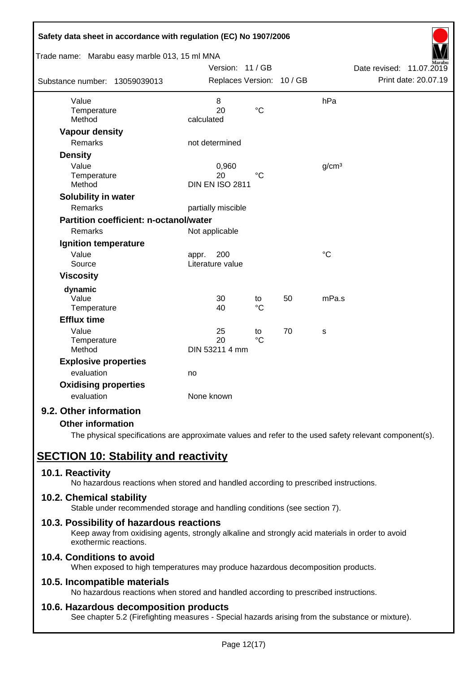| Safety data sheet in accordance with regulation (EC) No 1907/2006 |                           |                 |    |                   |                             |
|-------------------------------------------------------------------|---------------------------|-----------------|----|-------------------|-----------------------------|
| Trade name: Marabu easy marble 013, 15 ml MNA                     |                           |                 |    |                   |                             |
|                                                                   | Version: 11 / GB          |                 |    |                   | Date revised:<br>11.07.2019 |
| Substance number: 13059039013                                     | Replaces Version: 10 / GB |                 |    |                   | Print date: 20.07.19        |
| Value                                                             | 8                         |                 |    | hPa               |                             |
| Temperature                                                       | 20                        | $\rm ^{\circ}C$ |    |                   |                             |
| Method                                                            | calculated                |                 |    |                   |                             |
| <b>Vapour density</b>                                             |                           |                 |    |                   |                             |
| <b>Remarks</b>                                                    | not determined            |                 |    |                   |                             |
| <b>Density</b>                                                    |                           |                 |    |                   |                             |
| Value                                                             | 0,960                     |                 |    | g/cm <sup>3</sup> |                             |
| Temperature                                                       | 20                        | $^{\circ}C$     |    |                   |                             |
| Method                                                            | <b>DIN EN ISO 2811</b>    |                 |    |                   |                             |
| Solubility in water                                               |                           |                 |    |                   |                             |
| Remarks                                                           | partially miscible        |                 |    |                   |                             |
| <b>Partition coefficient: n-octanol/water</b>                     |                           |                 |    |                   |                             |
| Remarks                                                           | Not applicable            |                 |    |                   |                             |
| Ignition temperature                                              |                           |                 |    |                   |                             |
| Value                                                             | 200<br>appr.              |                 |    | $\rm ^{\circ}C$   |                             |
| Source                                                            | Literature value          |                 |    |                   |                             |
| <b>Viscosity</b>                                                  |                           |                 |    |                   |                             |
| dynamic                                                           |                           |                 |    |                   |                             |
| Value                                                             | 30                        | to              | 50 | mPa.s             |                             |
| Temperature                                                       | 40                        | $\rm ^{\circ}C$ |    |                   |                             |
| <b>Efflux time</b>                                                |                           |                 |    |                   |                             |
| Value                                                             | 25                        | to              | 70 | S                 |                             |
| Temperature                                                       | 20                        | $\rm ^{\circ}C$ |    |                   |                             |
| Method                                                            | DIN 53211 4 mm            |                 |    |                   |                             |
| <b>Explosive properties</b>                                       |                           |                 |    |                   |                             |
| evaluation                                                        | no                        |                 |    |                   |                             |
| <b>Oxidising properties</b>                                       |                           |                 |    |                   |                             |
| evaluation                                                        | None known                |                 |    |                   |                             |
| 9.2. Other information                                            |                           |                 |    |                   |                             |

## **Other information**

The physical specifications are approximate values and refer to the used safety relevant component(s).

# **SECTION 10: Stability and reactivity**

## **10.1. Reactivity**

No hazardous reactions when stored and handled according to prescribed instructions.

## **10.2. Chemical stability**

Stable under recommended storage and handling conditions (see section 7).

## **10.3. Possibility of hazardous reactions**

Keep away from oxidising agents, strongly alkaline and strongly acid materials in order to avoid exothermic reactions.

# **10.4. Conditions to avoid**

When exposed to high temperatures may produce hazardous decomposition products.

## **10.5. Incompatible materials**

No hazardous reactions when stored and handled according to prescribed instructions.

## **10.6. Hazardous decomposition products**

See chapter 5.2 (Firefighting measures - Special hazards arising from the substance or mixture).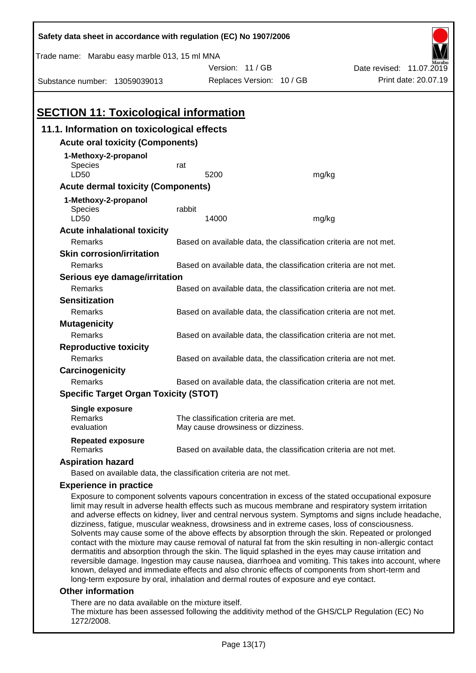| Safety data sheet in accordance with regulation (EC) No 1907/2006                                                                                                                                                                                                                                                                                                                                                                                                                                                                                                                                                                                                                                                                                                                                                                                         |        |                                                                   |       |                          |  |  |
|-----------------------------------------------------------------------------------------------------------------------------------------------------------------------------------------------------------------------------------------------------------------------------------------------------------------------------------------------------------------------------------------------------------------------------------------------------------------------------------------------------------------------------------------------------------------------------------------------------------------------------------------------------------------------------------------------------------------------------------------------------------------------------------------------------------------------------------------------------------|--------|-------------------------------------------------------------------|-------|--------------------------|--|--|
| Trade name: Marabu easy marble 013, 15 ml MNA                                                                                                                                                                                                                                                                                                                                                                                                                                                                                                                                                                                                                                                                                                                                                                                                             |        |                                                                   |       |                          |  |  |
|                                                                                                                                                                                                                                                                                                                                                                                                                                                                                                                                                                                                                                                                                                                                                                                                                                                           |        | Version: 11/GB                                                    |       | Date revised: 11.07.2019 |  |  |
| Substance number: 13059039013                                                                                                                                                                                                                                                                                                                                                                                                                                                                                                                                                                                                                                                                                                                                                                                                                             |        | Replaces Version: 10 / GB                                         |       | Print date: 20.07.19     |  |  |
|                                                                                                                                                                                                                                                                                                                                                                                                                                                                                                                                                                                                                                                                                                                                                                                                                                                           |        |                                                                   |       |                          |  |  |
| <b>SECTION 11: Toxicological information</b>                                                                                                                                                                                                                                                                                                                                                                                                                                                                                                                                                                                                                                                                                                                                                                                                              |        |                                                                   |       |                          |  |  |
| 11.1. Information on toxicological effects                                                                                                                                                                                                                                                                                                                                                                                                                                                                                                                                                                                                                                                                                                                                                                                                                |        |                                                                   |       |                          |  |  |
| <b>Acute oral toxicity (Components)</b>                                                                                                                                                                                                                                                                                                                                                                                                                                                                                                                                                                                                                                                                                                                                                                                                                   |        |                                                                   |       |                          |  |  |
| 1-Methoxy-2-propanol                                                                                                                                                                                                                                                                                                                                                                                                                                                                                                                                                                                                                                                                                                                                                                                                                                      |        |                                                                   |       |                          |  |  |
| Species                                                                                                                                                                                                                                                                                                                                                                                                                                                                                                                                                                                                                                                                                                                                                                                                                                                   | rat    |                                                                   |       |                          |  |  |
| LD50                                                                                                                                                                                                                                                                                                                                                                                                                                                                                                                                                                                                                                                                                                                                                                                                                                                      |        | 5200                                                              | mg/kg |                          |  |  |
| <b>Acute dermal toxicity (Components)</b>                                                                                                                                                                                                                                                                                                                                                                                                                                                                                                                                                                                                                                                                                                                                                                                                                 |        |                                                                   |       |                          |  |  |
| 1-Methoxy-2-propanol                                                                                                                                                                                                                                                                                                                                                                                                                                                                                                                                                                                                                                                                                                                                                                                                                                      |        |                                                                   |       |                          |  |  |
| Species<br>LD50                                                                                                                                                                                                                                                                                                                                                                                                                                                                                                                                                                                                                                                                                                                                                                                                                                           | rabbit | 14000                                                             | mg/kg |                          |  |  |
| <b>Acute inhalational toxicity</b>                                                                                                                                                                                                                                                                                                                                                                                                                                                                                                                                                                                                                                                                                                                                                                                                                        |        |                                                                   |       |                          |  |  |
| Remarks                                                                                                                                                                                                                                                                                                                                                                                                                                                                                                                                                                                                                                                                                                                                                                                                                                                   |        | Based on available data, the classification criteria are not met. |       |                          |  |  |
| <b>Skin corrosion/irritation</b>                                                                                                                                                                                                                                                                                                                                                                                                                                                                                                                                                                                                                                                                                                                                                                                                                          |        |                                                                   |       |                          |  |  |
| Remarks                                                                                                                                                                                                                                                                                                                                                                                                                                                                                                                                                                                                                                                                                                                                                                                                                                                   |        | Based on available data, the classification criteria are not met. |       |                          |  |  |
| Serious eye damage/irritation                                                                                                                                                                                                                                                                                                                                                                                                                                                                                                                                                                                                                                                                                                                                                                                                                             |        |                                                                   |       |                          |  |  |
| Remarks                                                                                                                                                                                                                                                                                                                                                                                                                                                                                                                                                                                                                                                                                                                                                                                                                                                   |        | Based on available data, the classification criteria are not met. |       |                          |  |  |
| <b>Sensitization</b>                                                                                                                                                                                                                                                                                                                                                                                                                                                                                                                                                                                                                                                                                                                                                                                                                                      |        |                                                                   |       |                          |  |  |
| Remarks                                                                                                                                                                                                                                                                                                                                                                                                                                                                                                                                                                                                                                                                                                                                                                                                                                                   |        | Based on available data, the classification criteria are not met. |       |                          |  |  |
| <b>Mutagenicity</b>                                                                                                                                                                                                                                                                                                                                                                                                                                                                                                                                                                                                                                                                                                                                                                                                                                       |        |                                                                   |       |                          |  |  |
| Remarks                                                                                                                                                                                                                                                                                                                                                                                                                                                                                                                                                                                                                                                                                                                                                                                                                                                   |        | Based on available data, the classification criteria are not met. |       |                          |  |  |
| <b>Reproductive toxicity</b>                                                                                                                                                                                                                                                                                                                                                                                                                                                                                                                                                                                                                                                                                                                                                                                                                              |        |                                                                   |       |                          |  |  |
| Remarks                                                                                                                                                                                                                                                                                                                                                                                                                                                                                                                                                                                                                                                                                                                                                                                                                                                   |        | Based on available data, the classification criteria are not met. |       |                          |  |  |
| Carcinogenicity                                                                                                                                                                                                                                                                                                                                                                                                                                                                                                                                                                                                                                                                                                                                                                                                                                           |        |                                                                   |       |                          |  |  |
| Remarks                                                                                                                                                                                                                                                                                                                                                                                                                                                                                                                                                                                                                                                                                                                                                                                                                                                   |        | Based on available data, the classification criteria are not met. |       |                          |  |  |
| <b>Specific Target Organ Toxicity (STOT)</b>                                                                                                                                                                                                                                                                                                                                                                                                                                                                                                                                                                                                                                                                                                                                                                                                              |        |                                                                   |       |                          |  |  |
| <b>Single exposure</b>                                                                                                                                                                                                                                                                                                                                                                                                                                                                                                                                                                                                                                                                                                                                                                                                                                    |        |                                                                   |       |                          |  |  |
| Remarks<br>evaluation                                                                                                                                                                                                                                                                                                                                                                                                                                                                                                                                                                                                                                                                                                                                                                                                                                     |        | The classification criteria are met.                              |       |                          |  |  |
|                                                                                                                                                                                                                                                                                                                                                                                                                                                                                                                                                                                                                                                                                                                                                                                                                                                           |        | May cause drowsiness or dizziness.                                |       |                          |  |  |
| <b>Repeated exposure</b><br>Remarks                                                                                                                                                                                                                                                                                                                                                                                                                                                                                                                                                                                                                                                                                                                                                                                                                       |        | Based on available data, the classification criteria are not met. |       |                          |  |  |
| <b>Aspiration hazard</b>                                                                                                                                                                                                                                                                                                                                                                                                                                                                                                                                                                                                                                                                                                                                                                                                                                  |        |                                                                   |       |                          |  |  |
| Based on available data, the classification criteria are not met.                                                                                                                                                                                                                                                                                                                                                                                                                                                                                                                                                                                                                                                                                                                                                                                         |        |                                                                   |       |                          |  |  |
| <b>Experience in practice</b>                                                                                                                                                                                                                                                                                                                                                                                                                                                                                                                                                                                                                                                                                                                                                                                                                             |        |                                                                   |       |                          |  |  |
| Exposure to component solvents vapours concentration in excess of the stated occupational exposure<br>limit may result in adverse health effects such as mucous membrane and respiratory system irritation<br>and adverse effects on kidney, liver and central nervous system. Symptoms and signs include headache,<br>dizziness, fatigue, muscular weakness, drowsiness and in extreme cases, loss of consciousness.<br>Solvents may cause some of the above effects by absorption through the skin. Repeated or prolonged<br>contact with the mixture may cause removal of natural fat from the skin resulting in non-allergic contact<br>dermatitis and absorption through the skin. The liquid splashed in the eyes may cause irritation and<br>reversible damage. Ingestion may cause nausea, diarrhoea and vomiting. This takes into account, where |        |                                                                   |       |                          |  |  |

#### **Other information**

There are no data available on the mixture itself.

The mixture has been assessed following the additivity method of the GHS/CLP Regulation (EC) No 1272/2008.

known, delayed and immediate effects and also chronic effects of components from short-term and

long-term exposure by oral, inhalation and dermal routes of exposure and eye contact.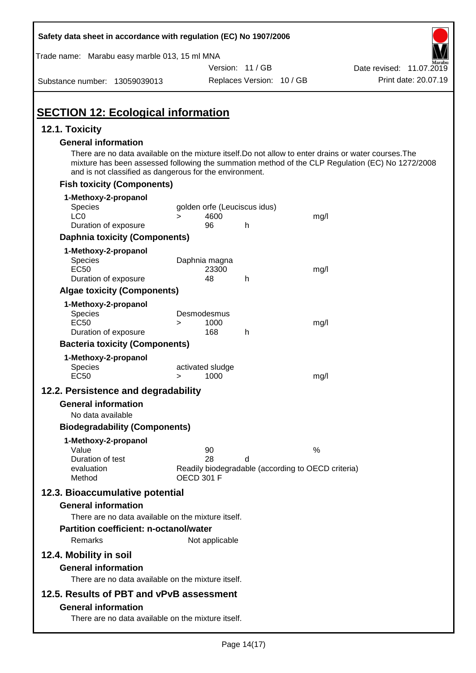| Safety data sheet in accordance with regulation (EC) No 1907/2006 |                   |                  |                              |                                                                                                                                                                                                           |
|-------------------------------------------------------------------|-------------------|------------------|------------------------------|-----------------------------------------------------------------------------------------------------------------------------------------------------------------------------------------------------------|
| Trade name: Marabu easy marble 013, 15 ml MNA                     |                   |                  |                              |                                                                                                                                                                                                           |
|                                                                   |                   | Version: 11 / GB |                              | Date revised: 11.07.2019                                                                                                                                                                                  |
| Substance number: 13059039013                                     |                   |                  | Replaces Version: 10 / GB    | Print date: 20.07.19                                                                                                                                                                                      |
| <b>SECTION 12: Ecological information</b>                         |                   |                  |                              |                                                                                                                                                                                                           |
| 12.1. Toxicity                                                    |                   |                  |                              |                                                                                                                                                                                                           |
| <b>General information</b>                                        |                   |                  |                              |                                                                                                                                                                                                           |
| and is not classified as dangerous for the environment.           |                   |                  |                              | There are no data available on the mixture itself. Do not allow to enter drains or water courses. The<br>mixture has been assessed following the summation method of the CLP Regulation (EC) No 1272/2008 |
| <b>Fish toxicity (Components)</b>                                 |                   |                  |                              |                                                                                                                                                                                                           |
| 1-Methoxy-2-propanol                                              |                   |                  |                              |                                                                                                                                                                                                           |
| <b>Species</b>                                                    |                   |                  | golden orfe (Leuciscus idus) |                                                                                                                                                                                                           |
| LC <sub>0</sub><br>Duration of exposure                           | $\geq$            | 4600<br>96       | h                            | mg/l                                                                                                                                                                                                      |
| <b>Daphnia toxicity (Components)</b>                              |                   |                  |                              |                                                                                                                                                                                                           |
|                                                                   |                   |                  |                              |                                                                                                                                                                                                           |
| 1-Methoxy-2-propanol<br><b>Species</b>                            | Daphnia magna     |                  |                              |                                                                                                                                                                                                           |
| <b>EC50</b>                                                       |                   | 23300            |                              | mg/l                                                                                                                                                                                                      |
| Duration of exposure                                              |                   | 48               | h                            |                                                                                                                                                                                                           |
| <b>Algae toxicity (Components)</b>                                |                   |                  |                              |                                                                                                                                                                                                           |
| 1-Methoxy-2-propanol                                              |                   |                  |                              |                                                                                                                                                                                                           |
| Species<br><b>EC50</b>                                            | Desmodesmus       | 1000             |                              |                                                                                                                                                                                                           |
| Duration of exposure                                              | >                 | 168              | h                            | mg/l                                                                                                                                                                                                      |
| <b>Bacteria toxicity (Components)</b>                             |                   |                  |                              |                                                                                                                                                                                                           |
| 1-Methoxy-2-propanol                                              |                   |                  |                              |                                                                                                                                                                                                           |
| Species                                                           | activated sludge  |                  |                              |                                                                                                                                                                                                           |
| <b>EC50</b>                                                       | >                 | 1000             |                              | mg/l                                                                                                                                                                                                      |
| 12.2. Persistence and degradability                               |                   |                  |                              |                                                                                                                                                                                                           |
| <b>General information</b>                                        |                   |                  |                              |                                                                                                                                                                                                           |
| No data available                                                 |                   |                  |                              |                                                                                                                                                                                                           |
| <b>Biodegradability (Components)</b>                              |                   |                  |                              |                                                                                                                                                                                                           |
| 1-Methoxy-2-propanol                                              |                   |                  |                              |                                                                                                                                                                                                           |
| Value                                                             |                   | 90               |                              | $\%$                                                                                                                                                                                                      |
| Duration of test<br>evaluation                                    |                   | 28               | d                            | Readily biodegradable (according to OECD criteria)                                                                                                                                                        |
| Method                                                            | <b>OECD 301 F</b> |                  |                              |                                                                                                                                                                                                           |
| 12.3. Bioaccumulative potential                                   |                   |                  |                              |                                                                                                                                                                                                           |
| <b>General information</b>                                        |                   |                  |                              |                                                                                                                                                                                                           |
| There are no data available on the mixture itself.                |                   |                  |                              |                                                                                                                                                                                                           |
| <b>Partition coefficient: n-octanol/water</b>                     |                   |                  |                              |                                                                                                                                                                                                           |
| Remarks                                                           |                   | Not applicable   |                              |                                                                                                                                                                                                           |
| 12.4. Mobility in soil                                            |                   |                  |                              |                                                                                                                                                                                                           |
| <b>General information</b>                                        |                   |                  |                              |                                                                                                                                                                                                           |
| There are no data available on the mixture itself.                |                   |                  |                              |                                                                                                                                                                                                           |
|                                                                   |                   |                  |                              |                                                                                                                                                                                                           |
| 12.5. Results of PBT and vPvB assessment                          |                   |                  |                              |                                                                                                                                                                                                           |
| <b>General information</b>                                        |                   |                  |                              |                                                                                                                                                                                                           |
| There are no data available on the mixture itself.                |                   |                  |                              |                                                                                                                                                                                                           |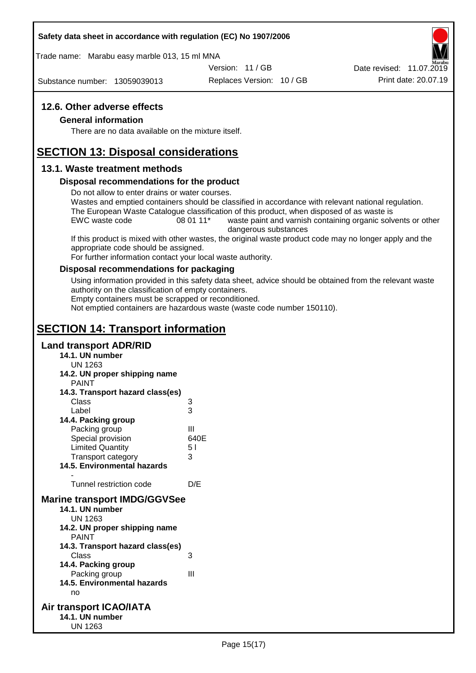#### **Safety data sheet in accordance with regulation (EC) No 1907/2006**

Trade name: Marabu easy marble 013, 15 ml MNA

Version: 11 / GB

Substance number: 13059039013

Replaces Version: 10 / GB Print date: 20.07.19 Date revised: 11.07.2019

# **12.6. Other adverse effects**

#### **General information**

There are no data available on the mixture itself.

# **SECTION 13: Disposal considerations**

#### **13.1. Waste treatment methods**

#### **Disposal recommendations for the product**

Do not allow to enter drains or water courses.

Wastes and emptied containers should be classified in accordance with relevant national regulation. The European Waste Catalogue classification of this product, when disposed of as waste is

EWC waste code 08 01 11<sup>\*</sup> waste paint and varnish containing organic solvents or other dangerous substances

If this product is mixed with other wastes, the original waste product code may no longer apply and the appropriate code should be assigned.

For further information contact your local waste authority.

#### **Disposal recommendations for packaging**

Using information provided in this safety data sheet, advice should be obtained from the relevant waste authority on the classification of empty containers.

Empty containers must be scrapped or reconditioned.

Not emptied containers are hazardous waste (waste code number 150110).

# **SECTION 14: Transport information**

#### **Land transport ADR/RID**

- **14.1. UN number** UN 1263 **14.2. UN proper shipping name** PAINT **14.3. Transport hazard class(es)** Class 3 Label 3 **14.4. Packing group** Packing group III Special provision 640E Limited Quantity 5 l Transport category 3 **14.5. Environmental hazards** - Tunnel restriction code D/E **Marine transport IMDG/GGVSee 14.1. UN number** UN 1263 **14.2. UN proper shipping name** PAINT **14.3. Transport hazard class(es)** Class 3 **14.4. Packing group** Packing group III **14.5. Environmental hazards** no **Air transport ICAO/IATA 14.1. UN number**
	- UN 1263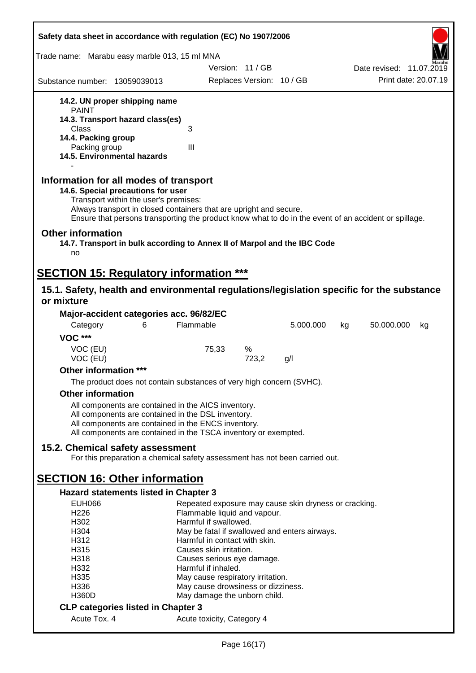| Safety data sheet in accordance with regulation (EC) No 1907/2006                                                                                                                                                                                                                                    |                            |       |                                    |                                                       |    |                          |                      |
|------------------------------------------------------------------------------------------------------------------------------------------------------------------------------------------------------------------------------------------------------------------------------------------------------|----------------------------|-------|------------------------------------|-------------------------------------------------------|----|--------------------------|----------------------|
| Trade name: Marabu easy marble 013, 15 ml MNA                                                                                                                                                                                                                                                        |                            |       |                                    |                                                       |    |                          |                      |
|                                                                                                                                                                                                                                                                                                      |                            |       | Version: 11 / GB                   |                                                       |    | Date revised: 11.07.2019 |                      |
| Substance number: 13059039013                                                                                                                                                                                                                                                                        |                            |       | Replaces Version: 10 / GB          |                                                       |    |                          | Print date: 20.07.19 |
| 14.2. UN proper shipping name                                                                                                                                                                                                                                                                        |                            |       |                                    |                                                       |    |                          |                      |
| <b>PAINT</b>                                                                                                                                                                                                                                                                                         |                            |       |                                    |                                                       |    |                          |                      |
| 14.3. Transport hazard class(es)<br>Class                                                                                                                                                                                                                                                            | 3                          |       |                                    |                                                       |    |                          |                      |
| 14.4. Packing group                                                                                                                                                                                                                                                                                  |                            |       |                                    |                                                       |    |                          |                      |
| Packing group                                                                                                                                                                                                                                                                                        | III                        |       |                                    |                                                       |    |                          |                      |
| 14.5. Environmental hazards                                                                                                                                                                                                                                                                          |                            |       |                                    |                                                       |    |                          |                      |
| Information for all modes of transport<br>14.6. Special precautions for user<br>Transport within the user's premises:<br>Always transport in closed containers that are upright and secure.<br>Ensure that persons transporting the product know what to do in the event of an accident or spillage. |                            |       |                                    |                                                       |    |                          |                      |
| <b>Other information</b><br>14.7. Transport in bulk according to Annex II of Marpol and the IBC Code<br>no                                                                                                                                                                                           |                            |       |                                    |                                                       |    |                          |                      |
| <b>SECTION 15: Regulatory information ***</b>                                                                                                                                                                                                                                                        |                            |       |                                    |                                                       |    |                          |                      |
| 15.1. Safety, health and environmental regulations/legislation specific for the substance                                                                                                                                                                                                            |                            |       |                                    |                                                       |    |                          |                      |
| or mixture                                                                                                                                                                                                                                                                                           |                            |       |                                    |                                                       |    |                          |                      |
| Major-accident categories acc. 96/82/EC                                                                                                                                                                                                                                                              |                            |       |                                    |                                                       |    |                          |                      |
| 6<br>Category                                                                                                                                                                                                                                                                                        | Flammable                  |       |                                    | 5.000.000                                             | kg | 50.000.000               | kg                   |
| <b>VOC ***</b>                                                                                                                                                                                                                                                                                       |                            |       |                                    |                                                       |    |                          |                      |
| VOC (EU)                                                                                                                                                                                                                                                                                             |                            | 75,33 | %                                  |                                                       |    |                          |                      |
| VOC (EU)                                                                                                                                                                                                                                                                                             |                            |       | 723,2                              | g/l                                                   |    |                          |                      |
| Other information ***                                                                                                                                                                                                                                                                                |                            |       |                                    |                                                       |    |                          |                      |
| The product does not contain substances of very high concern (SVHC).                                                                                                                                                                                                                                 |                            |       |                                    |                                                       |    |                          |                      |
| <b>Other information</b>                                                                                                                                                                                                                                                                             |                            |       |                                    |                                                       |    |                          |                      |
| All components are contained in the AICS inventory.                                                                                                                                                                                                                                                  |                            |       |                                    |                                                       |    |                          |                      |
| All components are contained in the DSL inventory.                                                                                                                                                                                                                                                   |                            |       |                                    |                                                       |    |                          |                      |
| All components are contained in the ENCS inventory.<br>All components are contained in the TSCA inventory or exempted.                                                                                                                                                                               |                            |       |                                    |                                                       |    |                          |                      |
|                                                                                                                                                                                                                                                                                                      |                            |       |                                    |                                                       |    |                          |                      |
| 15.2. Chemical safety assessment<br>For this preparation a chemical safety assessment has not been carried out.                                                                                                                                                                                      |                            |       |                                    |                                                       |    |                          |                      |
|                                                                                                                                                                                                                                                                                                      |                            |       |                                    |                                                       |    |                          |                      |
| <b>SECTION 16: Other information</b>                                                                                                                                                                                                                                                                 |                            |       |                                    |                                                       |    |                          |                      |
| Hazard statements listed in Chapter 3<br><b>EUH066</b>                                                                                                                                                                                                                                               |                            |       |                                    | Repeated exposure may cause skin dryness or cracking. |    |                          |                      |
| H <sub>226</sub>                                                                                                                                                                                                                                                                                     |                            |       | Flammable liquid and vapour.       |                                                       |    |                          |                      |
| H302                                                                                                                                                                                                                                                                                                 | Harmful if swallowed.      |       |                                    |                                                       |    |                          |                      |
| H304                                                                                                                                                                                                                                                                                                 |                            |       |                                    | May be fatal if swallowed and enters airways.         |    |                          |                      |
| H312                                                                                                                                                                                                                                                                                                 |                            |       | Harmful in contact with skin.      |                                                       |    |                          |                      |
| H315<br>H318                                                                                                                                                                                                                                                                                         | Causes skin irritation.    |       | Causes serious eye damage.         |                                                       |    |                          |                      |
| H332                                                                                                                                                                                                                                                                                                 | Harmful if inhaled.        |       |                                    |                                                       |    |                          |                      |
| H335                                                                                                                                                                                                                                                                                                 |                            |       | May cause respiratory irritation.  |                                                       |    |                          |                      |
| H336                                                                                                                                                                                                                                                                                                 |                            |       | May cause drowsiness or dizziness. |                                                       |    |                          |                      |
| H360D                                                                                                                                                                                                                                                                                                |                            |       | May damage the unborn child.       |                                                       |    |                          |                      |
| <b>CLP categories listed in Chapter 3</b>                                                                                                                                                                                                                                                            |                            |       |                                    |                                                       |    |                          |                      |
| Acute Tox. 4                                                                                                                                                                                                                                                                                         | Acute toxicity, Category 4 |       |                                    |                                                       |    |                          |                      |